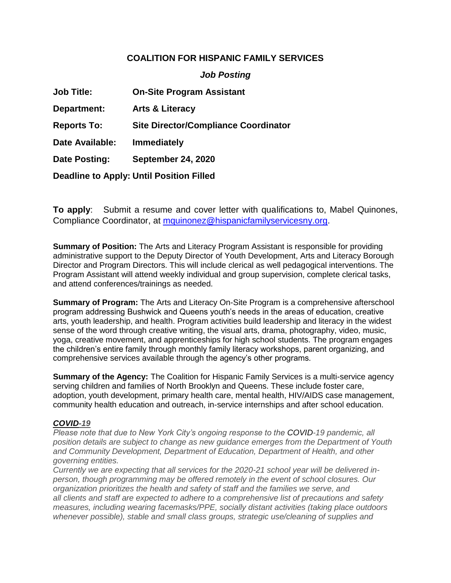## **COALITION FOR HISPANIC FAMILY SERVICES**

## *Job Posting*

| <b>Job Title:</b>                               | <b>On-Site Program Assistant</b>            |
|-------------------------------------------------|---------------------------------------------|
| Department:                                     | <b>Arts &amp; Literacy</b>                  |
| <b>Reports To:</b>                              | <b>Site Director/Compliance Coordinator</b> |
| <b>Date Available:</b>                          | <b>Immediately</b>                          |
| Date Posting:                                   | <b>September 24, 2020</b>                   |
| <b>Deadline to Apply: Until Position Filled</b> |                                             |

**To apply**: Submit a resume and cover letter with qualifications to, Mabel Quinones, Compliance Coordinator, at [mquinonez@hispanicfamilyservicesny.org.](mailto:mquinones@hispanicfamilyservicesny.org)

**Summary of Position:** The Arts and Literacy Program Assistant is responsible for providing administrative support to the Deputy Director of Youth Development, Arts and Literacy Borough Director and Program Directors. This will include clerical as well pedagogical interventions. The Program Assistant will attend weekly individual and group supervision, complete clerical tasks, and attend conferences/trainings as needed.

**Summary of Program:** The Arts and Literacy On-Site Program is a comprehensive afterschool program addressing Bushwick and Queens youth's needs in the areas of education, creative arts, youth leadership, and health. Program activities build leadership and literacy in the widest sense of the word through creative writing, the visual arts, drama, photography, video, music, yoga, creative movement, and apprenticeships for high school students. The program engages the children's entire family through monthly family literacy workshops, parent organizing, and comprehensive services available through the agency's other programs.

**Summary of the Agency:** The Coalition for Hispanic Family Services is a multi-service agency serving children and families of North Brooklyn and Queens. These include foster care, adoption, youth development, primary health care, mental health, HIV/AIDS case management, community health education and outreach, in-service internships and after school education.

## *COVID-19*

*Please note that due to New York City's ongoing response to the COVID-19 pandemic, all position details are subject to change as new guidance emerges from the Department of Youth and Community Development, Department of Education, Department of Health, and other governing entities.*

*Currently we are expecting that all services for the 2020-21 school year will be delivered inperson, though programming may be offered remotely in the event of school closures. Our organization prioritizes the health and safety of staff and the families we serve, and all clients and staff are expected to adhere to a comprehensive list of precautions and safety measures, including wearing facemasks/PPE, socially distant activities (taking place outdoors whenever possible), stable and small class groups, strategic use/cleaning of supplies and*